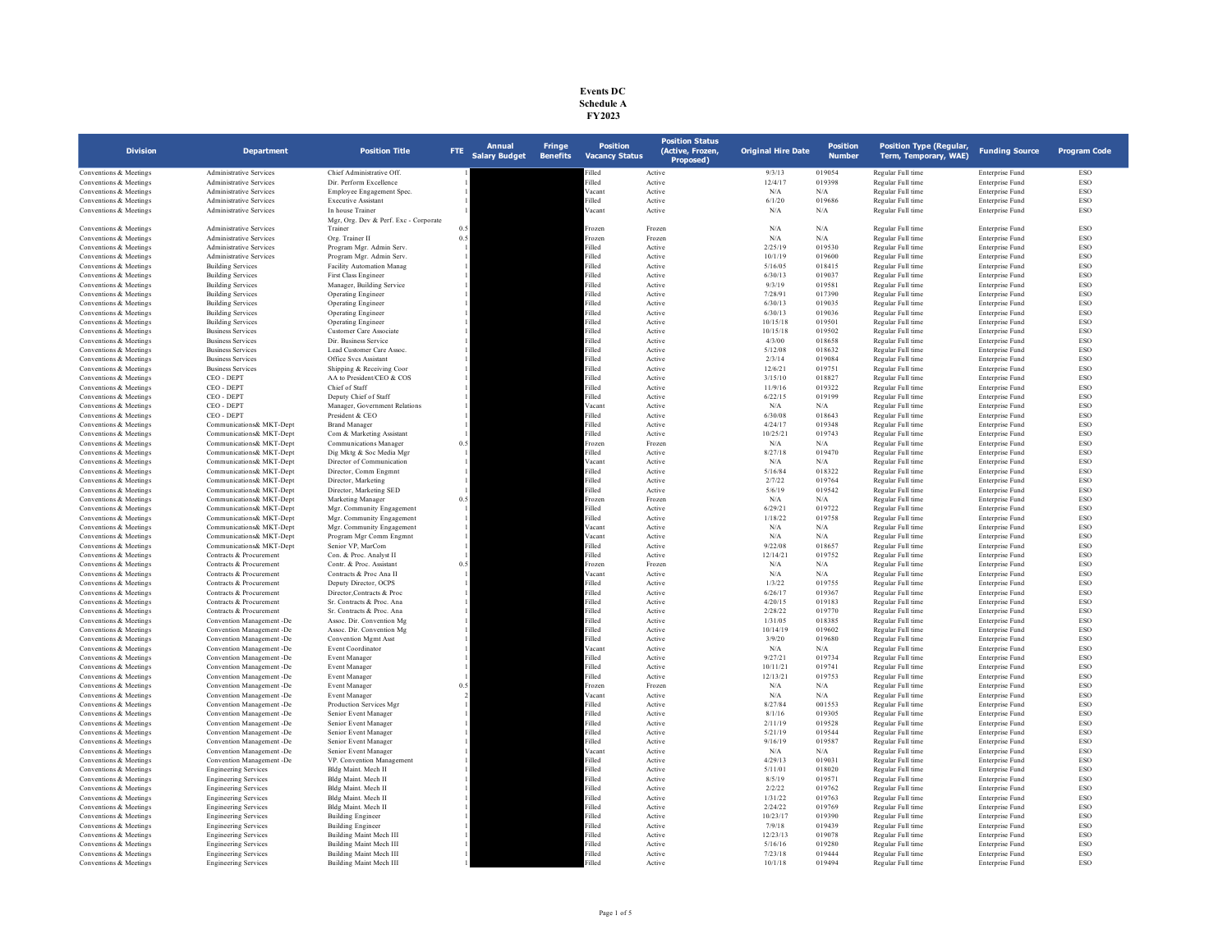| <b>Events DC</b> |
|------------------|
| Schedule A       |
| FY 2023          |

| <b>Division</b>                                  | <b>Department</b>                                      | <b>Position Title</b>                                     | FTE: | <b>Annual</b><br><b>Salary Budget</b> | <b>Fringe</b><br><b>Benefits</b> | <b>Position</b><br><b>Vacancy Status</b> | <b>Position Status</b><br>(Active, Frozen,<br>Proposed) | <b>Original Hire Date</b> | <b>Position</b><br><b>Number</b> | <b>Position Type (Regular,</b><br>Term, Temporary, WAE) | <b>Funding Source</b>              | <b>Program Code</b> |
|--------------------------------------------------|--------------------------------------------------------|-----------------------------------------------------------|------|---------------------------------------|----------------------------------|------------------------------------------|---------------------------------------------------------|---------------------------|----------------------------------|---------------------------------------------------------|------------------------------------|---------------------|
| Conventions & Meetings                           | <b>Administrative Services</b>                         | Chief Administrative Off.                                 |      |                                       |                                  | illed                                    | Active                                                  | 9/3/13                    | 019054                           | Regular Full time                                       | Enterprise Fund                    | ESO                 |
| Conventions & Meetings                           | <b>Administrative Services</b>                         | Dir. Perform Excellence                                   |      |                                       |                                  | Filled                                   | Active                                                  | 12/4/17                   | 019398                           | Regular Full time                                       | <b>Enterprise Fund</b>             | ESO                 |
| Conventions & Meetings                           | <b>Administrative Services</b>                         | Employee Engagement Spec.                                 |      |                                       |                                  | Vacant                                   | Active                                                  | N/A                       | N/A                              | Regular Full time                                       | <b>Enterprise Fund</b>             | ESO                 |
| Conventions & Meetings                           | <b>Administrative Services</b>                         | <b>Executive Assistant</b>                                |      |                                       |                                  | Filled                                   | Active                                                  | 6/1/20                    | 019686                           | Regular Full time                                       | Enterprise Fund                    | <b>ESO</b>          |
| Conventions & Meetings                           | <b>Administrative Services</b>                         | In house Trainer<br>Mgr, Org. Dev & Perf. Exc - Corporate |      |                                       |                                  | Vacant                                   | Active                                                  | N/A                       | N/A                              | Regular Full time                                       | Enterprise Fund                    | ESO                 |
| Conventions & Meetings                           | Administrative Services                                | Trainer                                                   |      |                                       |                                  | Frozen                                   | Frozen                                                  | $\rm N/A$                 | $\rm N/A$                        | Regular Full time                                       | <b>Enterprise Fund</b>             | ESO                 |
| Conventions & Meetings                           | Administrative Services                                | Org. Trainer II                                           | 0.5  |                                       |                                  | Frozen                                   | Frozen                                                  | $\rm N/A$                 | N/A                              | Regular Full time                                       | Enterprise Fund                    | ESO                 |
| Conventions & Meetings                           | Administrative Services                                | Program Mgr. Admin Serv.                                  |      |                                       |                                  | Filled                                   | Active                                                  | 2/25/19                   | 019530                           | Regular Full time                                       | Enterprise Fund                    | ESO                 |
| Conventions & Meetings                           | <b>Administrative Services</b>                         | Program Mgr. Admin Serv.                                  |      |                                       |                                  | Filled                                   | Active                                                  | 10/1/19                   | 019600                           | Regular Full time                                       | Enterprise Fund                    | ESO                 |
| Conventions & Meetings                           | <b>Building Services</b>                               | Facility Automation Manag                                 |      |                                       |                                  | Filled                                   | Active                                                  | 5/16/05                   | 018415                           | Regular Full time                                       | Enterprise Fund                    | ESO                 |
| Conventions & Meetings                           | <b>Building Services</b>                               | First Class Engineer                                      |      |                                       |                                  | Filled                                   | Active                                                  | 6/30/13                   | 019037                           | Regular Full time                                       | Enterprise Fund                    | ESO                 |
| Conventions & Meetings<br>Conventions & Meetings | <b>Building Services</b>                               | Manager, Building Service                                 |      |                                       |                                  | Filled<br>Filled                         | Active                                                  | 9/3/19                    | 019581<br>017390                 | Regular Full time<br>Regular Full time                  | Enterprise Fund                    | ESO<br>ESO          |
| Conventions & Meetings                           | <b>Building Services</b><br><b>Building Services</b>   | <b>Operating Engineer</b><br><b>Operating Engineer</b>    |      |                                       |                                  | Filled                                   | Active<br>Active                                        | 7/28/91<br>6/30/13        | 019035                           | Regular Full time                                       | Enterprise Fund<br>Enterprise Fund | ESO                 |
| Conventions & Meetings                           | <b>Building Services</b>                               | Operating Engineer                                        |      |                                       |                                  | Filled                                   | Active                                                  | 6/30/13                   | 019036                           | Regular Full time                                       | Enterprise Fund                    | ESO                 |
| Conventions & Meetings                           | <b>Building Services</b>                               | Operating Engineer                                        |      |                                       |                                  | Filled                                   | Active                                                  | 10/15/18                  | 019501                           | Regular Full time                                       | Enterprise Fund                    | ESO                 |
| Conventions & Meetings                           | <b>Business Services</b>                               | Customer Care Associate                                   |      |                                       |                                  | Filled                                   | Active                                                  | 10/15/18                  | 019502                           | Regular Full time                                       | Enterprise Fund                    | <b>ESO</b>          |
| Conventions & Meetings                           | <b>Business Services</b>                               | Dir. Business Service                                     |      |                                       |                                  | Filled                                   | Active                                                  | 4/3/00                    | 018658                           | Regular Full time                                       | Enterprise Fund                    | ESO <sub></sub>     |
| Conventions & Meetings                           | <b>Business Services</b>                               | Lead Customer Care Assoc.                                 |      |                                       |                                  | Filled                                   | Active                                                  | 5/12/08                   | 018632                           | Regular Full time                                       | Enterprise Fund                    | ESO                 |
| Conventions & Meetings                           | <b>Business Services</b>                               | Office Svcs Assistant                                     |      |                                       |                                  | Filled                                   | Active                                                  | 2/3/14                    | 019084                           | Regular Full time                                       | Enterprise Fund                    | ESO                 |
| Conventions & Meetings                           | <b>Business Services</b>                               | Shipping & Receiving Coor                                 |      |                                       |                                  | Filled                                   | Active                                                  | 12/6/21                   | 019751                           | Regular Full time                                       | Enterprise Fund                    | ESO                 |
| Conventions & Meetings                           | CEO - DEPT                                             | AA to President/CEO & COS                                 |      |                                       |                                  | Filled                                   | Active                                                  | 3/15/10                   | 018827                           | Regular Full time                                       | Enterprise Fund                    | <b>ESO</b>          |
| Conventions & Meetings                           | CEO - DEPT                                             | Chief of Staff                                            |      |                                       |                                  | Filled                                   | Active                                                  | 11/9/16                   | 019322                           | Regular Full time                                       | Enterprise Fund                    | ESO                 |
| Conventions & Meetings                           | CEO - DEPT                                             | Deputy Chief of Staff                                     |      |                                       |                                  | Filled                                   | Active                                                  | 6/22/15                   | 019199                           | Regular Full time                                       | Enterprise Fund                    | ESO                 |
| Conventions & Meetings                           | CEO - DEPT                                             | Manager, Government Relations                             |      |                                       |                                  | Vacant                                   | Active                                                  | N/A                       | N/A                              | Regular Full time                                       | Enterprise Fund                    | ESO                 |
| Conventions & Meetings                           | CEO - DEPT                                             | President & CEO                                           |      |                                       |                                  | Filled                                   | Active                                                  | 6/30/08                   | 018643                           | Regular Full time                                       | Enterprise Fund                    | ESO                 |
| Conventions & Meetings                           | Communications& MKT-Dept                               | <b>Brand Manager</b>                                      |      |                                       |                                  | Filled                                   | Active                                                  | 4/24/17                   | 019348                           | Regular Full time                                       | Enterprise Fund                    | ESO                 |
| Conventions & Meetings                           | Communications& MKT-Dept                               | Com & Marketing Assistant                                 |      |                                       |                                  | Filled                                   | Active                                                  | 10/25/21                  | 019743                           | Regular Full time                                       | Enterprise Fund                    | ESO                 |
| Conventions & Meetings                           | Communications& MKT-Dept                               | Communications Manager                                    | 0.5  |                                       |                                  | Frozen                                   | Frozen                                                  | N/A                       | N/A                              | Regular Full time                                       | Enterprise Fund                    | ESO                 |
| Conventions & Meetings                           | Communications& MKT-Dept                               | Dig Mktg & Soc Media Mgr                                  |      |                                       |                                  | Filled                                   | Active                                                  | 8/27/18                   | 019470                           | Regular Full time                                       | <b>Enterprise Fund</b>             | ESO                 |
| Conventions & Meetings<br>Conventions & Meetings | Communications& MKT-Dept<br>Communications& MKT-Dept   | Director of Communication<br>Director, Comm Engmnt        |      |                                       |                                  | Vacant<br>Filled                         | Active                                                  | $\rm N/A$<br>5/16/84      | N/A<br>018322                    | Regular Full time<br>Regular Full time                  | Enterprise Fund<br>Enterprise Fund | ESO<br>ESO          |
| Conventions & Meetings                           | Communications& MKT-Dent                               | Director. Marketing                                       |      |                                       |                                  | Filled                                   | Active<br>Active                                        | 2/7/22                    | 019764                           | Regular Full time                                       | Enterprise Fund                    | ESO                 |
| Conventions & Meetings                           | Communications& MKT-Dept                               | Director, Marketing SED                                   |      |                                       |                                  | Filled                                   | Active                                                  | 5/6/19                    | 019542                           | Regular Full time                                       | Enterprise Fund                    | ESO                 |
| Conventions & Meetings                           | Communications& MKT-Dept                               | Marketing Manager                                         | 0.5  |                                       |                                  | Frozen                                   | Frozen                                                  | N/A                       | N/A                              | Regular Full time                                       | Enterprise Fund                    | ESO                 |
| Conventions & Meetings                           | Communications& MKT-Dept                               | Mgr. Community Engagement                                 |      |                                       |                                  | Filled                                   | Active                                                  | 6/29/21                   | 019722                           | Regular Full time                                       | Enterprise Fund                    | ESO                 |
| Conventions & Meetings                           | Communications& MKT-Dept                               | Mgr. Community Engagement                                 |      |                                       |                                  | Filled                                   | Active                                                  | 1/18/22                   | 019758                           | Regular Full time                                       | Enterprise Fund                    | ESO                 |
| Conventions & Meetings                           | Communications& MKT-Dept                               | Mgr. Community Engagement                                 |      |                                       |                                  | Vacant                                   | Active                                                  | N/A                       | N/A                              | Regular Full time                                       | Enterprise Fund                    | ESO                 |
| Conventions & Meetings                           | Communications& MKT-Dept                               | Program Mgr Comm Engmnt                                   |      |                                       |                                  | Vacant                                   | Active                                                  | N/A                       | $\rm N/A$                        | Regular Full time                                       | Enterprise Fund                    | ESO                 |
| Conventions & Meetings                           | Communications& MKT-Dept                               | Senior VP, MarCom                                         |      |                                       |                                  | Filled                                   | Active                                                  | 9/22/08                   | 018657                           | Regular Full time                                       | Enterprise Fund                    | ESO                 |
| Conventions & Meetings                           | Contracts & Procurement                                | Con. & Proc. Analyst II                                   |      |                                       |                                  | Filled                                   | Active                                                  | 12/14/21                  | 019752                           | Regular Full time                                       | Enterprise Fund                    | ESO                 |
| Conventions & Meetings                           | Contracts & Procurement                                | Contr. & Proc. Assistant                                  | 0.5  |                                       |                                  | Frozen                                   | Frozen                                                  | N/A                       | N/A                              | Regular Full time                                       | Enterprise Fund                    | ESO                 |
| Conventions & Meetings                           | Contracts & Procurement                                | Contracts & Proc Ana II                                   |      |                                       |                                  | Vacant                                   | Active                                                  | N/A                       | N/A                              | Regular Full time                                       | Enterprise Fund                    | ESO                 |
| Conventions & Meetings                           | Contracts & Procurement                                | Deputy Director, OCPS                                     |      |                                       |                                  | Filled                                   | Active                                                  | 1/3/22                    | 019755                           | Regular Full time                                       | Enterprise Fund                    | ESO                 |
| Conventions & Meetings                           | Contracts & Procurement                                | Director, Contracts & Proc                                |      |                                       |                                  | Filled                                   | Active                                                  | 6/26/17                   | 019367                           | Regular Full time                                       | Enterprise Fund                    | ESO                 |
| Conventions & Meetings<br>Conventions & Meetings | Contracts & Procurement<br>Contracts & Procurement     | Sr. Contracts & Proc. Ana<br>Sr. Contracts & Proc. Ana    |      |                                       |                                  | Filled<br>Filled                         | Active<br>Active                                        | 4/20/15<br>2/28/22        | 019183<br>019770                 | Regular Full time<br>Regular Full time                  | Enterprise Fund<br>Enterprise Fund | ESO<br>ESO          |
| Conventions & Meetings                           | Convention Management -De                              | Assoc. Dir. Convention Mg                                 |      |                                       |                                  | Filled                                   | Active                                                  | 1/31/05                   | 018385                           | Regular Full time                                       | Enterprise Fund                    | ESO                 |
| Conventions & Meetings                           | Convention Management -De                              | Assoc. Dir. Convention Mg                                 |      |                                       |                                  | Filled                                   | Active                                                  | 10/14/19                  | 019602                           | Regular Full time                                       | <b>Enterprise Fund</b>             | ESO                 |
| Conventions & Meetings                           | Convention Management -De                              | <b>Convention Mgmt Asst</b>                               |      |                                       |                                  | Filled                                   | Active                                                  | 3/9/20                    | 019680                           | Regular Full time                                       | <b>Enterprise Fund</b>             | ESO                 |
| Conventions & Meetings                           | Convention Management -De                              | <b>Event Coordinator</b>                                  |      |                                       |                                  | Vacant                                   | Active                                                  | N/A                       | N/A                              | Regular Full time                                       | Enterprise Fund                    | <b>ESO</b>          |
| Conventions & Meetings                           | Convention Management -De                              | <b>Event Manager</b>                                      |      |                                       |                                  | Filled                                   | Active                                                  | 9/27/21                   | 019734                           | Regular Full time                                       | Enterprise Fund                    | ESO                 |
| Conventions & Meetings                           | Convention Management -De                              | Event Manager                                             |      |                                       |                                  | Filled                                   | Active                                                  | 10/11/21                  | 019741                           | Regular Full time                                       | Enterprise Fund                    | ESO                 |
| Conventions & Meetings                           | Convention Management -De                              | Event Manager                                             |      |                                       |                                  | Filled                                   | Active                                                  | 12/13/21                  | 019753                           | Regular Full time                                       | <b>Enterprise Fund</b>             | ESO                 |
| Conventions & Meetings                           | Convention Management -De                              | Event Manager                                             | 0.5  |                                       |                                  | Frozen                                   | Frozen                                                  | N/A                       | N/A                              | Regular Full time                                       | Enterprise Fund                    | ESO                 |
| Conventions & Meetings                           | Convention Management -De                              | Event Manager                                             |      |                                       |                                  | Vacant                                   | Active                                                  | N/A                       | N/A                              | Regular Full time                                       | Enterprise Fund                    | <b>ESO</b>          |
| Conventions & Meetings                           | Convention Management -De                              | Production Services Mor                                   |      |                                       |                                  | Filled                                   | Active                                                  | 8/27/84                   | 001553                           | Regular Full time                                       | Enterprise Fund                    | ESO                 |
| Conventions & Meetings                           | Convention Management -De                              | Senior Event Manager                                      |      |                                       |                                  | Filled                                   | Active                                                  | 8/1/16                    | 019305                           | Regular Full time                                       | Enterprise Fund                    | ESO                 |
| Conventions & Meetings                           | Convention Management -De                              | Senior Event Manager                                      |      |                                       |                                  | Filled<br>Filled                         | Active                                                  | 2/11/19                   | 019528<br>019544                 | Regular Full time                                       | Enterprise Fund                    | ESO                 |
| Conventions & Meetings<br>Conventions & Meetings | Convention Management -De<br>Convention Management -De | Senior Event Manager<br>Senior Event Manager              |      |                                       |                                  | Filled                                   | Active<br>Active                                        | 5/21/19<br>9/16/19        | 019587                           | Regular Full time<br>Regular Full time                  | Enterprise Fund<br>Enterprise Fund | ESO<br>ESO          |
| Conventions & Meetings                           | Convention Management -De                              | Senior Event Manager                                      |      |                                       |                                  | Vacant                                   | Active                                                  | N/A                       | N/A                              | Regular Full time                                       | Enterprise Fund                    | ESO                 |
| Conventions & Meetings                           | Convention Management -De                              | VP. Convention Management                                 |      |                                       |                                  | Filled                                   | Active                                                  | 4/29/13                   | 019031                           | Regular Full time                                       | Enterprise Fund                    | ESO                 |
| Conventions & Meetings                           | <b>Engineering Services</b>                            | Bldg Maint. Mech II                                       |      |                                       |                                  | Filled                                   | Active                                                  | 5/11/01                   | 018020                           | Regular Full time                                       | Enterprise Fund                    | ESO                 |
| Conventions & Meetings                           | <b>Engineering Services</b>                            | Bldg Maint. Mech II                                       |      |                                       |                                  | Filled                                   | Active                                                  | 8/5/19                    | 019571                           | Regular Full time                                       | Enterprise Fund                    | ESO                 |
| Conventions & Meetings                           | <b>Engineering Services</b>                            | Bldg Maint. Mech II                                       |      |                                       |                                  | Filled                                   | Active                                                  | 2/2/22                    | 019762                           | Regular Full time                                       | Enterprise Fund                    | ESO                 |
| Conventions & Meetings                           | <b>Engineering Services</b>                            | Bldg Maint, Mech II                                       |      |                                       |                                  | Filled                                   | Active                                                  | 1/31/22                   | 019763                           | Regular Full time                                       | Enterprise Fund                    | ESO                 |
| Conventions & Meetings                           | <b>Engineering Services</b>                            | Bldg Maint. Mech II                                       |      |                                       |                                  | Filled                                   | Active                                                  | 2/24/22                   | 019769                           | Regular Full time                                       | <b>Enterprise Fund</b>             | ESO                 |
| Conventions & Meetings                           | <b>Engineering Services</b>                            | Building Engineer                                         |      |                                       |                                  | Filled                                   | Active                                                  | 10/23/17                  | 019390                           | Regular Full time                                       | <b>Enterprise Fund</b>             | ESO                 |
| Conventions & Meetings                           | <b>Engineering Services</b>                            | <b>Building Engineer</b>                                  |      |                                       |                                  | Filled                                   | Active                                                  | 7/9/18                    | 019439                           | Regular Full time                                       | Enterprise Fund                    | <b>ESO</b>          |
| Conventions & Meetings                           | <b>Engineering Services</b>                            | Building Maint Mech III                                   |      |                                       |                                  | Filled                                   | Active                                                  | 12/23/13                  | 019078                           | Regular Full time                                       | Enterprise Fund                    | ESO                 |
| Conventions & Meetings                           | <b>Engineering Services</b>                            | Building Maint Mech III                                   |      |                                       |                                  | Filled                                   | Active                                                  | 5/16/16                   | 019280                           | Regular Full time                                       | Enterprise Fund                    | ESO                 |
| Conventions & Meetings                           | <b>Engineering Services</b>                            | Building Maint Mech III                                   |      |                                       |                                  | Filled                                   | Active                                                  | 7/23/18                   | 019444                           | Regular Full time                                       | <b>Enterprise Fund</b>             | ESO                 |
| Conventions & Meetings                           | <b>Engineering Services</b>                            | Building Maint Mech III                                   |      |                                       |                                  | illed                                    | Active                                                  | 10/1/18                   | 019494                           | Regular Full time                                       | Enterprise Fund                    | ESO                 |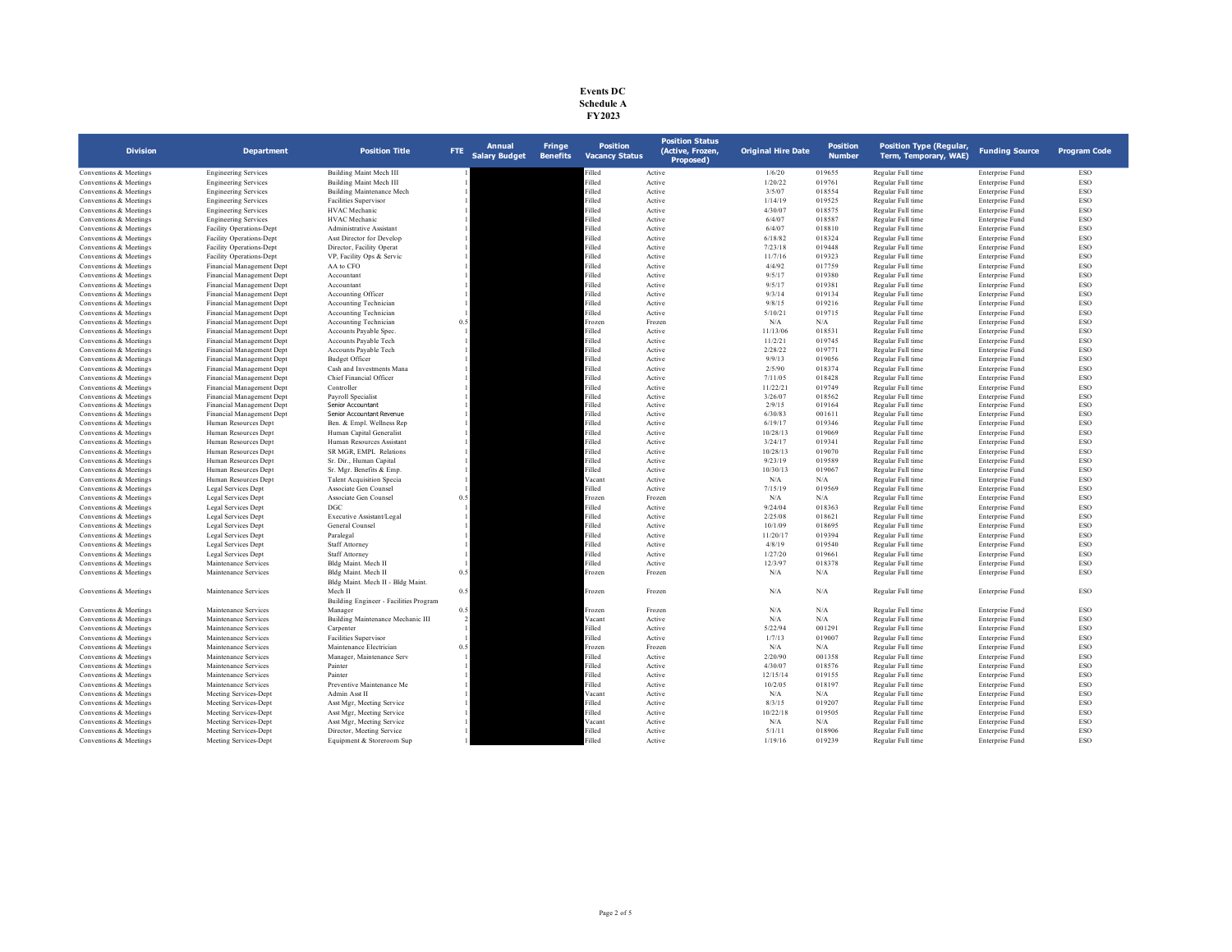| <b>Events DC</b> |
|------------------|
| Schedule A       |
| FY 2023          |

| <b>Division</b>                                  | <b>Department</b>                                      | <b>Position Title</b>                          | FTE | Annual<br><b>Salary Budget</b> | <b>Fringe</b><br><b>Benefits</b> | <b>Position</b><br><b>Vacancy Status</b> | <b>Position Status</b><br>(Active, Frozen,<br>Proposed) | <b>Original Hire Date</b> | <b>Position</b><br><b>Number</b> | <b>Position Type (Regular,</b><br>Term, Temporary, WAE) | <b>Funding Source</b>              | <b>Program Code</b> |
|--------------------------------------------------|--------------------------------------------------------|------------------------------------------------|-----|--------------------------------|----------------------------------|------------------------------------------|---------------------------------------------------------|---------------------------|----------------------------------|---------------------------------------------------------|------------------------------------|---------------------|
| Conventions & Meetings                           | <b>Engineering Services</b>                            | Building Maint Mech III                        |     |                                |                                  | illed                                    | Active                                                  | 1/6/20                    | 019655                           | Regular Full time                                       | Enterprise Fund                    | <b>ESO</b>          |
| Conventions & Meetings                           | <b>Engineering Services</b>                            | Building Maint Mech III                        |     |                                |                                  | Filled                                   | Active                                                  | 1/20/22                   | 019761                           | Regular Full time                                       | Enterprise Fund                    | ESO                 |
| Conventions & Meetings                           | <b>Engineering Services</b>                            | Building Maintenance Mech                      |     |                                |                                  | Filled                                   | Active                                                  | 3/5/07                    | 018554                           | Regular Full time                                       | Enterprise Fund                    | <b>ESO</b>          |
| Conventions & Meetings                           | <b>Engineering Services</b>                            | Facilities Supervisor                          |     |                                |                                  | Filled                                   | Active                                                  | 1/14/19                   | 019525                           | Regular Full time                                       | Enterprise Fund                    | ESO                 |
| Conventions & Meetings                           | <b>Engineering Services</b>                            | HVAC Mechanic                                  |     |                                |                                  | Filled                                   | Active                                                  | 4/30/07                   | 018575                           | Regular Full time                                       | Enterprise Fund                    | ESO                 |
| Conventions & Meetings                           | <b>Engineering Services</b>                            | <b>HVAC</b> Mechanic                           |     |                                |                                  | Filled                                   | Active                                                  | 6/4/07                    | 018587                           | Regular Full time                                       | Enterprise Fund                    | ESO                 |
| Conventions & Meetings                           | <b>Facility Operations-Dept</b>                        | Administrative Assistant                       |     |                                |                                  | Filled                                   | Active                                                  | 6/4/07                    | 018810                           | Regular Full time                                       | Enterprise Fund                    | ESO                 |
| Conventions & Meetings                           | Facility Operations-Dept                               | Asst Director for Develop                      |     |                                |                                  | Filled                                   | Active                                                  | 6/18/82                   | 018324                           | Regular Full time                                       | Enterprise Fund                    | ESO                 |
| Conventions & Meetings                           | Facility Operations-Dept                               | Director, Facility Operat                      |     |                                |                                  | Filled                                   | Active                                                  | 7/23/18                   | 019448                           | Regular Full time                                       | Enterprise Fund                    | ESO                 |
| Conventions & Meetings                           | Facility Operations-Dept                               | VP, Facility Ops & Servic                      |     |                                |                                  | Filled                                   | Active                                                  | 11/7/16                   | 019323                           | Regular Full time                                       | Enterprise Fund                    | <b>ESO</b>          |
| Conventions & Meetings                           | Financial Management Dept                              | AA to CFO                                      |     |                                |                                  | Filled                                   | Active                                                  | 4/4/92                    | 017759                           | Regular Full time                                       | Enterprise Fund                    | ESO                 |
| Conventions & Meetings                           | Financial Management Dept                              | Accountant                                     |     |                                |                                  | Filled<br>Filled                         | Active                                                  | 9/5/17                    | 019380                           | Regular Full time                                       | Enterprise Fund                    | <b>ESO</b>          |
| Conventions & Meetings                           | Financial Management Dept                              | Accountant                                     |     |                                |                                  | Filled                                   | Active                                                  | 9/5/17                    | 019381                           | Regular Full time                                       | Enterprise Fund                    | ESO                 |
| Conventions & Meetings<br>Conventions & Meetings | Financial Management Dept<br>Financial Management Dept | Accounting Officer<br>Accounting Technician    |     |                                |                                  | Filled                                   | Active<br>Active                                        | 9/3/14<br>9/8/15          | 019134<br>019216                 | Regular Full time<br>Regular Full time                  | Enterprise Fund<br>Enterprise Fund | ESO<br>ESO          |
|                                                  |                                                        |                                                |     |                                |                                  | Filled                                   |                                                         | 5/10/21                   | 019715                           | Regular Full time                                       |                                    | ESO                 |
| Conventions & Meetings<br>Conventions & Meetings | Financial Management Dept<br>Financial Management Dept | Accounting Technician<br>Accounting Technician | 0.5 |                                |                                  | Frozen                                   | Active<br>Frozen                                        | N/A                       | N/A                              | Regular Full time                                       | Enterprise Fund<br>Enterprise Fund | ESO                 |
| Conventions & Meetings                           | Financial Management Dept                              | Accounts Payable Spec.                         |     |                                |                                  | Filled                                   | Active                                                  | 11/13/06                  | 018531                           | Regular Full time                                       | Enterprise Fund                    | ESO                 |
| Conventions & Meetings                           | Financial Management Dept                              | Accounts Payable Tech                          |     |                                |                                  | Filled                                   | Active                                                  | 11/2/21                   | 019745                           | Regular Full time                                       | Enterprise Fund                    | <b>ESO</b>          |
| Conventions & Meetings                           | Financial Management Dept                              | Accounts Payable Tech                          |     |                                |                                  | Filled                                   | Active                                                  | 2/28/22                   | 019771                           | Regular Full time                                       | Enterprise Fund                    | ESO                 |
| Conventions & Meetings                           | Financial Management Dept                              | <b>Budget Officer</b>                          |     |                                |                                  | Filled                                   | Active                                                  | 9/9/13                    | 019056                           | Regular Full time                                       | Enterprise Fund                    | ESO                 |
| Conventions & Meetings                           | Financial Management Dept                              | Cash and Investments Mana                      |     |                                |                                  | Filled                                   | Active                                                  | 2/5/90                    | 018374                           | Regular Full time                                       | Enterprise Fund                    | ESO                 |
| Conventions & Meetings                           | Financial Management Dept                              | Chief Financial Officer                        |     |                                |                                  | Filled                                   | Active                                                  | 7/11/05                   | 018428                           | Regular Full time                                       | Enterprise Fund                    | ESO                 |
| Conventions & Meetings                           | Financial Management Dept                              | Controller                                     |     |                                |                                  | Filled                                   | Active                                                  | 11/22/21                  | 019749                           | Regular Full time                                       | Enterprise Fund                    | <b>ESO</b>          |
| Conventions & Meetings                           | Financial Management Dept                              | Payroll Specialist                             |     |                                |                                  | Filled                                   | Active                                                  | 3/26/07                   | 018562                           | Regular Full time                                       | Enterprise Fund                    | ESO                 |
| Conventions & Meetings                           | Financial Management Dept                              | Senior Accountant                              |     |                                |                                  | Filled                                   | Active                                                  | 2/9/15                    | 019164                           | Regular Full time                                       | Enterprise Fund                    | ESO                 |
| Conventions & Meetings                           | Financial Management Dept                              | Senior Accountant Revenue                      |     |                                |                                  | Filled                                   | Active                                                  | 6/30/83                   | 001611                           | Regular Full time                                       | Enterprise Fund                    | <b>ESO</b>          |
| Conventions & Meetings                           | Human Resources Dept                                   | Ben. & Empl. Wellness Rep                      |     |                                |                                  | Filled                                   | Active                                                  | 6/19/17                   | 019346                           | Regular Full time                                       | Enterprise Fund                    | ESO                 |
| Conventions & Meetings                           | Human Resources Dept                                   | Human Capital Generalist                       |     |                                |                                  | Filled                                   | Active                                                  | 10/28/13                  | 019069                           | Regular Full time                                       | Enterprise Fund                    | ESO                 |
| Conventions & Meetings                           | Human Resources Dept                                   | Human Resources Assistant                      |     |                                |                                  | Filled                                   | Active                                                  | 3/24/17                   | 019341                           | Regular Full time                                       | Enterprise Fund                    | ESO                 |
| Conventions & Meetings                           | Human Resources Dept                                   | SR MGR, EMPL Relations                         |     |                                |                                  | Filled                                   | Active                                                  | 10/28/13                  | 019070                           | Regular Full time                                       | Enterprise Fund                    | <b>ESO</b>          |
| Conventions & Meetings                           | Human Resources Dept                                   | Sr. Dir., Human Capital                        |     |                                |                                  | Filled                                   | Active                                                  | 9/23/19                   | 019589                           | Regular Full time                                       | Enterprise Fund                    | ESO                 |
| Conventions & Meetings                           | Human Resources Dept                                   | Sr. Mgr. Benefits & Emp.                       |     |                                |                                  | Filled                                   | Active                                                  | 10/30/13                  | 019067                           | Regular Full time                                       | Enterprise Fund                    | ESO                 |
| Conventions & Meetings                           | Human Resources Dept                                   | <b>Talent Acquisition Specia</b>               |     |                                |                                  | Vacant                                   | Active                                                  | N/A                       | N/A                              | Regular Full time                                       | Enterprise Fund                    | <b>ESO</b>          |
| Conventions & Meetings                           | Legal Services Dept                                    | Associate Gen Counsel                          |     |                                |                                  | Filled                                   | Active                                                  | 7/15/19                   | 019569                           | Regular Full time                                       | Enterprise Fund                    | ESO                 |
| Conventions & Meetings                           | Legal Services Dept                                    | Associate Gen Counsel                          | 0.5 |                                |                                  | Frozen                                   | Frozen                                                  | N/A                       | N/A                              | Regular Full time                                       | Enterprise Fund                    | <b>ESO</b>          |
| Conventions & Meetings                           | Legal Services Dept                                    | DGC                                            |     |                                |                                  | Filled                                   | Active                                                  | 9/24/04                   | 018363                           | Regular Full time                                       | Enterprise Fund                    | ESO                 |
| Conventions & Meetings                           | Legal Services Dept                                    | Executive Assistant/Legal                      |     |                                |                                  | Filled                                   | Active                                                  | 2/25/08                   | 018621                           | Regular Full time                                       | Enterprise Fund                    | ESO                 |
| Conventions & Meetings                           | Legal Services Dept                                    | General Counsel                                |     |                                |                                  | Filled                                   | Active                                                  | 10/1/09                   | 018695                           | Regular Full time                                       | Enterprise Fund                    | ESO                 |
| Conventions & Meetings                           | Legal Services Dept                                    | Paralegal                                      |     |                                |                                  | Filled                                   | Active                                                  | 11/20/17                  | 019394                           | Regular Full time                                       | Enterprise Fund                    | ESO                 |
| Conventions & Meetings                           | Legal Services Dept                                    | Staff Attorney                                 |     |                                |                                  | Filled                                   | Active                                                  | 4/8/19                    | 019540                           | Regular Full time                                       | Enterprise Fund                    | ESO                 |
| Conventions & Meetings                           | Legal Services Dept                                    | <b>Staff Attorney</b>                          |     |                                |                                  | Filled                                   | Active                                                  | 1/27/20                   | 019661                           | Regular Full time                                       | Enterprise Fund                    | ESO                 |
| Conventions & Meetings                           | Maintenance Services                                   | Bldg Maint, Mech II                            |     |                                |                                  | Filled                                   | Active                                                  | 12/3/97                   | 018378                           | Regular Full time                                       | Enterprise Fund                    | ESO                 |
| Conventions & Meetings                           | Maintenance Services                                   | Bldg Maint. Mech II                            | 0.5 |                                |                                  | Frozen                                   | Frozen                                                  | N/A                       | N/A                              | Regular Full time                                       | Enterprise Fund                    | ESO                 |
| Conventions & Meetings                           | Maintenance Services                                   | Bldg Maint. Mech II - Bldg Maint.<br>Mech II   | 0.5 |                                |                                  | Frozen                                   | Frozen                                                  | N/A                       | N/A                              | Regular Full time                                       | Enterprise Fund                    | ESO                 |
|                                                  |                                                        | Building Engineer - Facilities Program         |     |                                |                                  |                                          |                                                         |                           |                                  |                                                         |                                    |                     |
| Conventions & Meetings                           | Maintenance Services                                   | Manager                                        | 0.5 |                                |                                  | Frozen                                   | Frozen                                                  | N/A                       | N/A                              | Regular Full time                                       | Enterprise Fund                    | ESO                 |
| Conventions & Meetings                           | Maintenance Services                                   | Building Maintenance Mechanic III              |     |                                |                                  | Vacant                                   | Active                                                  | N/A                       | N/A                              | Regular Full time                                       | Enterprise Fund                    | ESO                 |
| Conventions & Meetings                           | Maintenance Services                                   | Carpenter                                      |     |                                |                                  | Filled                                   | Active                                                  | 5/22/94                   | 001291                           | Regular Full time                                       | Enterprise Fund                    | ESO                 |
| Conventions & Meetings                           | Maintenance Services                                   | Facilities Supervisor                          |     |                                |                                  | Filled                                   | Active                                                  | 1/7/13                    | 019007                           | Regular Full time                                       | Enterprise Fund                    | ESO                 |
| Conventions & Meetings                           | Maintenance Services                                   | Maintenance Electrician                        | 0.5 |                                |                                  | Frozen                                   | Frozen                                                  | N/A                       | N/A                              | Regular Full time                                       | Enterprise Fund                    | ESO                 |
| Conventions & Meetings                           | Maintenance Services                                   | Manager, Maintenance Serv                      |     |                                |                                  | Filled                                   | Active                                                  | 2/20/90                   | 001358                           | Regular Full time                                       | Enterprise Fund                    | ESO                 |
| Conventions & Meetings                           | Maintenance Services                                   | Painter                                        |     |                                |                                  | Filled                                   | Active                                                  | 4/30/07                   | 018576                           | Regular Full time                                       | Enterprise Fund                    | ESO                 |
| Conventions & Meetings                           | Maintenance Services                                   | Painter                                        |     |                                |                                  | Filled                                   | Active                                                  | 12/15/14                  | 019155                           | Regular Full time                                       | Enterprise Fund                    | ESO                 |
| Conventions & Meetings                           | Maintenance Services                                   | Preventive Maintenance Me                      |     |                                |                                  | Filled                                   | Active                                                  | 10/2/05                   | 018197                           | Regular Full time                                       | Enterprise Fund                    | <b>ESO</b>          |
| Conventions & Meetings                           | Meeting Services-Dept                                  | Admin Asst II                                  |     |                                |                                  | Vacant                                   | Active                                                  | N/A                       | N/A                              | Regular Full time                                       | Enterprise Fund                    | ESO                 |
| Conventions & Meetings                           | Meeting Services-Dept                                  | Asst Mgr, Meeting Service                      |     |                                |                                  | Filled                                   | Active                                                  | 8/3/15                    | 019207                           | Regular Full time                                       | Enterprise Fund                    | ESO                 |
| Conventions & Meetings                           | Meeting Services-Dept                                  | Asst Mgr, Meeting Service                      |     |                                |                                  | Filled                                   | Active                                                  | 10/22/18                  | 019505                           | Regular Full time                                       | Enterprise Fund                    | ESO                 |
| Conventions & Meetings                           | Meeting Services-Dept                                  | Asst Mgr, Meeting Service                      |     |                                |                                  | Vacant                                   | Active                                                  | N/A                       | N/A                              | Regular Full time                                       | Enterprise Fund                    | ESO                 |
| Conventions & Meetings                           | Meeting Services-Dept                                  | Director, Meeting Service                      |     |                                |                                  | Filled                                   | Active                                                  | 5/1/11                    | 018906                           | Regular Full time                                       | Enterprise Fund                    | ESO                 |
| Conventions & Meetings                           | Meeting Services-Dept                                  | Equipment & Storeroom Sup                      |     |                                |                                  | illed                                    | Active                                                  | 1/19/16                   | 019239                           | Regular Full time                                       | Enterprise Fund                    | ESO                 |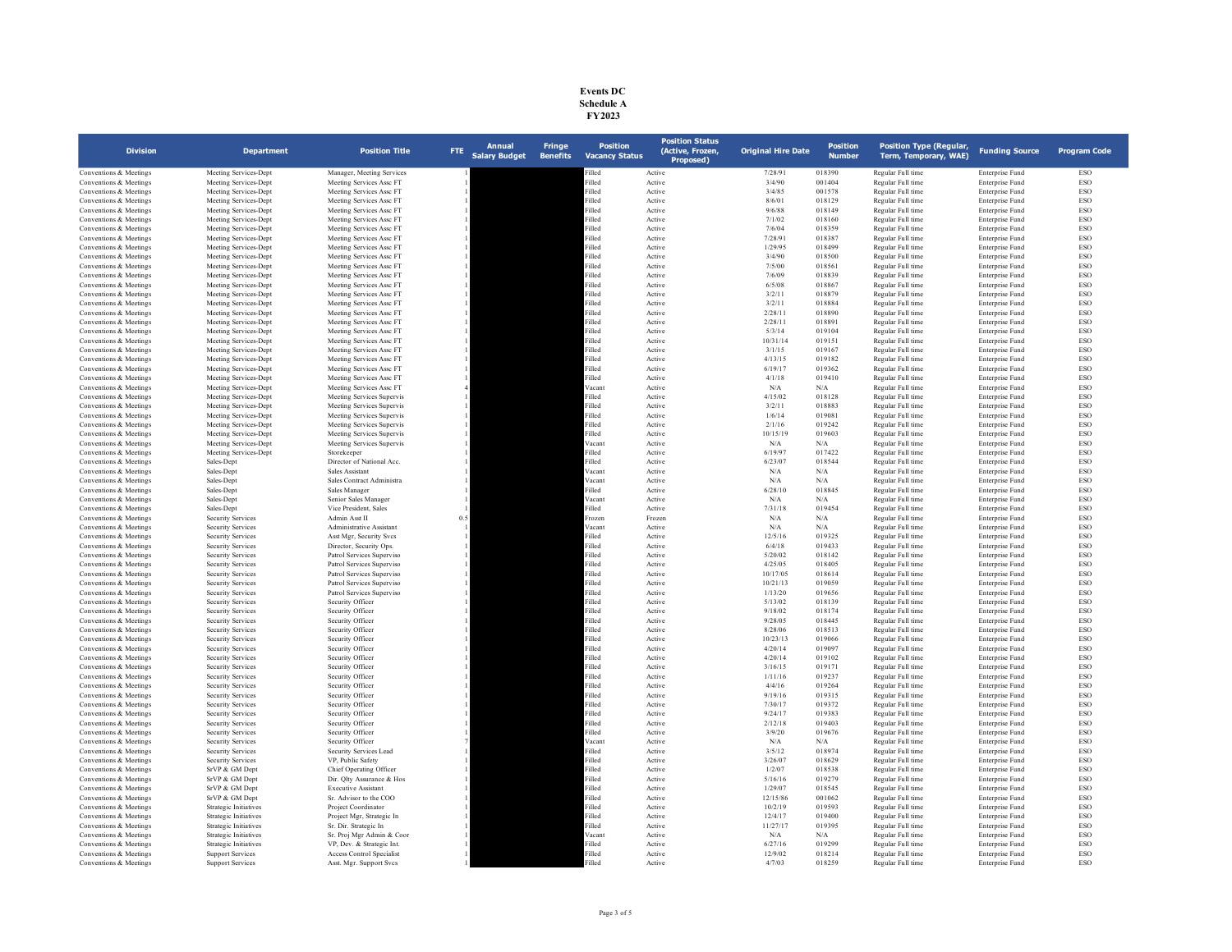| <b>Events DC</b> |
|------------------|
| Schedule A       |
| <b>FY2023</b>    |

| <b>Division</b>                                  | <b>Department</b>                                    | <b>Position Title</b>                                | <b>Annual</b><br>FTE.<br><b>Salary Budget</b> | <b>Fringe</b><br><b>Benefits</b> | <b>Position</b><br><b>Vacancy Status</b> | <b>Position Status</b><br>(Active, Frozen,<br>Proposed) | <b>Original Hire Date</b> | Position<br><b>Number</b> | <b>Position Type (Regular,</b><br>Term, Temporary, WAE) | <b>Funding Source</b>              | <b>Program Code</b>      |
|--------------------------------------------------|------------------------------------------------------|------------------------------------------------------|-----------------------------------------------|----------------------------------|------------------------------------------|---------------------------------------------------------|---------------------------|---------------------------|---------------------------------------------------------|------------------------------------|--------------------------|
| Conventions & Meetings                           | Meeting Services-Dept                                | Manager, Meeting Services                            |                                               |                                  | illed                                    | Active                                                  | 7/28/91                   | 018390                    | Regular Full time                                       | Enterprise Fund                    | <b>ESO</b>               |
| Conventions & Meetings                           | Meeting Services-Dept                                | Meeting Services Assc FT                             |                                               |                                  | Filled                                   | Active                                                  | 3/4/90                    | 001404                    | Regular Full time                                       | Enterprise Fund                    | <b>ESO</b>               |
| Conventions & Meetings                           | Meeting Services-Dept                                | Meeting Services Assc FT                             |                                               |                                  | Filled                                   | Active                                                  | 3/4/85                    | 001578                    | Regular Full time                                       | Enterprise Fund                    | ESO                      |
| Conventions & Meetings                           | Meeting Services-Dept                                | Meeting Services Assc FT                             |                                               |                                  | Filled                                   | Active                                                  | 8/6/01                    | 018129                    | Regular Full time                                       | Enterprise Fund                    | <b>ESO</b>               |
| Conventions & Meetings                           | Meeting Services-Dept                                | Meeting Services Assc FT                             |                                               |                                  | Filled                                   | Active                                                  | 9/6/88                    | 018149                    | Regular Full time                                       | Enterprise Fund                    | <b>ESO</b>               |
| Conventions & Meetings                           | Meeting Services-Dept                                | Meeting Services Assc FT                             |                                               |                                  | Filled                                   | Active                                                  | 7/1/02                    | 018160                    | Regular Full time                                       | Enterprise Fund                    | ESO                      |
| Conventions & Meetings<br>Conventions & Meetings | Meeting Services-Dept                                | Meeting Services Assc FT<br>Meeting Services Assc FT |                                               |                                  | Filled<br>Filled                         | Active<br>Active                                        | 7/6/04<br>7/28/91         | 018359<br>018387          | Regular Full time<br>Regular Full time                  | Enterprise Fund<br>Enterprise Fund | ESO<br>ESO               |
| Conventions & Meetings                           | Meeting Services-Dept<br>Meeting Services-Dept       | Meeting Services Assc FT                             |                                               |                                  | Filled                                   | Active                                                  | 1/29/95                   | 018499                    | Regular Full time                                       | Enterprise Fund                    | ESO                      |
| Conventions & Meetings                           | Meeting Services-Dept                                | Meeting Services Assc FT                             |                                               |                                  | Filled                                   | Active                                                  | 3/4/90                    | 018500                    | Regular Full time                                       | Enterprise Fund                    | <b>ESO</b>               |
| Conventions & Meetings                           | Meeting Services-Dept                                | Meeting Services Assc FT                             |                                               |                                  | Filled                                   | Active                                                  | 7/5/00                    | 018561                    | Regular Full time                                       | Enterprise Fund                    | ESO                      |
| Conventions & Meetings                           | Meeting Services-Dept                                | Meeting Services Assc FT                             |                                               |                                  | Filled                                   | Active                                                  | 7/6/09                    | 018839                    | Regular Full time                                       | Enterprise Fund                    | ESO                      |
| Conventions & Meetings                           | Meeting Services-Dept                                | Meeting Services Assc FT                             |                                               |                                  | Filled                                   | Active                                                  | 6/5/08                    | 018867                    | Regular Full time                                       | Enterprise Fund                    | ESO                      |
| Conventions & Meetings                           | Meeting Services-Dept                                | Meeting Services Assc FT                             |                                               |                                  | Filled                                   | Active                                                  | 3/2/11                    | 018879                    | Regular Full time                                       | Enterprise Fund                    | ESO                      |
| Conventions & Meetings                           | Meeting Services-Dept                                | Meeting Services Assc FT                             |                                               |                                  | Filled                                   | Active                                                  | 3/2/11                    | 018884                    | Regular Full time                                       | Enterprise Fund                    | <b>ESO</b>               |
| Conventions & Meetings                           | Meeting Services-Dept                                | Meeting Services Assc FT                             |                                               |                                  | Filled                                   | Active                                                  | 2/28/11                   | 018890                    | Regular Full time                                       | Enterprise Fund                    | <b>ESO</b>               |
| Conventions & Meetings                           | Meeting Services-Dept                                | Meeting Services Assc FT                             |                                               |                                  | Filled                                   | Active                                                  | 2/28/11                   | 018891                    | Regular Full time                                       | Enterprise Fund                    | ESO                      |
| Conventions & Meetings                           | Meeting Services-Dept                                | Meeting Services Assc FT                             |                                               |                                  | Filled                                   | Active                                                  | 5/3/14                    | 019104                    | Regular Full time                                       | Enterprise Fund                    | <b>ESO</b>               |
| Conventions & Meetings                           | Meeting Services-Dept                                | Meeting Services Assc FT                             |                                               |                                  | Filled<br>Filled                         | Active                                                  | 10/31/14                  | 019151                    | Regular Full time                                       | Enterprise Fund                    | ESO<br>ESO               |
| Conventions & Meetings<br>Conventions & Meetings | Meeting Services-Dept<br>Meeting Services-Dept       | Meeting Services Assc FT<br>Meeting Services Assc FT |                                               |                                  | Filled                                   | Active<br>Active                                        | 3/1/15<br>4/13/15         | 019167<br>019182          | Regular Full time<br>Regular Full time                  | Enterprise Fund<br>Enterprise Fund | <b>ESO</b>               |
| Conventions & Meetings                           | Meeting Services-Dept                                | Meeting Services Assc FT                             |                                               |                                  | Filled                                   | Active                                                  | 6/19/17                   | 019362                    | Regular Full time                                       | Enterprise Fund                    | ESO                      |
| Conventions & Meetings                           | Meeting Services-Dept                                | Meeting Services Assc FT                             |                                               |                                  | Filled                                   | Active                                                  | 4/1/18                    | 019410                    | Regular Full time                                       | Enterprise Fund                    | ESO                      |
| Conventions & Meetings                           | Meeting Services-Dept                                | Meeting Services Assc FT                             |                                               |                                  | Vacant                                   | Active                                                  | $\rm N/A$                 | N/A                       | Regular Full time                                       | Enterprise Fund                    | ESO                      |
| Conventions & Meetings                           | Meeting Services-Dept                                | Meeting Services Supervis                            |                                               |                                  | Filled                                   | Active                                                  | 4/15/02                   | 018128                    | Regular Full time                                       | Enterprise Fund                    | ESO                      |
| Conventions & Meetings                           | Meeting Services-Dept                                | Meeting Services Supervis                            |                                               |                                  | Filled                                   | Active                                                  | 3/2/11                    | 018883                    | Regular Full time                                       | Enterprise Fund                    | <b>ESO</b>               |
| Conventions & Meetings                           | Meeting Services-Dept                                | Meeting Services Supervis                            |                                               |                                  | Filled                                   | Active                                                  | 1/6/14                    | 019081                    | Regular Full time                                       | Enterprise Fund                    | ESO                      |
| Conventions & Meetings                           | Meeting Services-Dept                                | Meeting Services Supervis                            |                                               |                                  | Filled                                   | Active                                                  | 2/1/16                    | 019242                    | Regular Full time                                       | Enterprise Fund                    | ESO                      |
| Conventions & Meetings                           | Meeting Services-Dept                                | Meeting Services Supervis                            |                                               |                                  | Filled                                   | Active                                                  | 10/15/19                  | 019603                    | Regular Full time                                       | Enterprise Fund                    | ESO                      |
| Conventions & Meetings                           | Meeting Services-Dept                                | Meeting Services Supervis                            |                                               |                                  | Vacant                                   | Active                                                  | N/A                       | N/A                       | Regular Full time                                       | Enterprise Fund                    | <b>ESO</b>               |
| Conventions & Meetings                           | Meeting Services-Dept                                | Storekeeper                                          |                                               |                                  | Filled                                   | Active                                                  | 6/19/97                   | 017422                    | Regular Full time                                       | Enterprise Fund                    | <b>ESO</b>               |
| Conventions & Meetings                           | Sales-Dept                                           | Director of National Acc.                            |                                               |                                  | Filled                                   | Active                                                  | 6/23/07                   | 018544                    | Regular Full time                                       | Enterprise Fund                    | ESO                      |
| Conventions & Meetings<br>Conventions & Meetings | Sales-Dept<br>Sales-Dept                             | Sales Assistant<br>Sales Contract Administra         |                                               |                                  | Vacant<br>Vacant                         | Active<br>Active                                        | $\rm N/A$<br>$\rm N/A$    | $\rm N/A$<br>$\rm N/A$    | Regular Full time<br>Regular Full time                  | Enterprise Fund<br>Enterprise Fund | ESO<br>ESO               |
| Conventions & Meetings                           | Sales-Dept                                           | Sales Manager                                        |                                               |                                  | Filled                                   | Active                                                  | 6/28/10                   | 018845                    | Regular Full time                                       | <b>Enterprise Fund</b>             | <b>ESO</b>               |
| Conventions & Meetings                           | Sales-Dept                                           | Senior Sales Manager                                 |                                               |                                  | Vacant                                   | Active                                                  | N/A                       | N/A                       | Regular Full time                                       | Enterprise Fund                    | <b>ESO</b>               |
| Conventions & Meetings                           | Sales-Dept                                           | Vice President, Sales                                |                                               |                                  | Filled                                   | Active                                                  | 7/31/18                   | 019454                    | Regular Full time                                       | Enterprise Fund                    | ESO                      |
| Conventions & Meetings                           | <b>Security Services</b>                             | Admin Asst II                                        | 0.5                                           |                                  | Frozen                                   | Frozen                                                  | $\rm N/A$                 | $\rm N/A$                 | Regular Full time                                       | Enterprise Fund                    | ESO                      |
| Conventions & Meetings                           | <b>Security Services</b>                             | Administrative Assistant                             |                                               |                                  | Vacan                                    | Active                                                  | $\rm N/A$                 | N/A                       | Regular Full time                                       | Enterprise Fund                    | ESO                      |
| Conventions & Meetings                           | <b>Security Services</b>                             | Asst Mgr, Security Svcs                              |                                               |                                  | Filled                                   | Active                                                  | 12/5/16                   | 019325                    | Regular Full time                                       | Enterprise Fund                    | <b>ESO</b>               |
| Conventions & Meetings                           | <b>Security Services</b>                             | Director, Security Ops.                              |                                               |                                  | Filled                                   | Active                                                  | 6/4/18                    | 019433                    | Regular Full time                                       | Enterprise Fund                    | <b>ESO</b>               |
| Conventions & Meetings                           | <b>Security Services</b>                             | Patrol Services Superviso                            |                                               |                                  | Filled                                   | Active                                                  | 5/20/02                   | 018142                    | Regular Full time                                       | Enterprise Fund                    | ESO                      |
| Conventions & Meetings                           | Security Services                                    | Patrol Services Superviso                            |                                               |                                  | Filled                                   | Active                                                  | 4/25/05                   | 018405                    | Regular Full time                                       | Enterprise Fund                    | <b>ESO</b>               |
| Conventions & Meetings                           | <b>Security Services</b>                             | Patrol Services Superviso                            |                                               |                                  | Filled                                   | Active                                                  | 10/17/05                  | 018614                    | Regular Full time                                       | Enterprise Fund                    | ESO                      |
| Conventions & Meetings                           | <b>Security Services</b>                             | Patrol Services Superviso                            |                                               |                                  | Filled                                   | Active                                                  | 10/21/13                  | 019059                    | Regular Full time                                       | Enterprise Fund                    | <b>ESO</b>               |
| Conventions & Meetings                           | <b>Security Services</b>                             | Patrol Services Superviso                            |                                               |                                  | Filled                                   | Active                                                  | 1/13/20                   | 019656                    | Regular Full time                                       | Enterprise Fund                    | <b>ESO</b>               |
| Conventions & Meetings<br>Conventions & Meetings | <b>Security Services</b><br>Security Services        | Security Officer<br>Security Officer                 |                                               |                                  | Filled<br>Filled                         | Active<br>Active                                        | 5/13/02<br>9/18/02        | 018139<br>018174          | Regular Full time<br>Regular Full time                  | Enterprise Fund<br>Enterprise Fund | ESO<br><b>ESO</b>        |
| Conventions & Meetings                           | <b>Security Services</b>                             | Security Officer                                     |                                               |                                  | Filled                                   | Active                                                  | 9/28/05                   | 018445                    | Regular Full time                                       | Enterprise Fund                    | ESO                      |
| Conventions & Meetings                           | <b>Security Services</b>                             | Security Officer                                     |                                               |                                  | Filled                                   | Active                                                  | 8/28/06                   | 018513                    | Regular Full time                                       | Enterprise Fund                    | <b>ESO</b>               |
| Conventions & Meetings                           | <b>Security Services</b>                             | Security Officer                                     |                                               |                                  | Filled                                   | Active                                                  | 10/23/13                  | 019066                    | Regular Full time                                       | Enterprise Fund                    | ESO                      |
| Conventions & Meetings                           | <b>Security Services</b>                             | Security Officer                                     |                                               |                                  | Filled                                   | Active                                                  | 4/20/14                   | 019097                    | Regular Full time                                       | Enterprise Fund                    | ESO                      |
| Conventions & Meetings                           | Security Services                                    | Security Officer                                     |                                               |                                  | Filled                                   | Active                                                  | 4/20/14                   | 019102                    | Regular Full time                                       | Enterprise Fund                    | <b>ESO</b>               |
| Conventions & Meetings                           | <b>Security Services</b>                             | Security Officer                                     |                                               |                                  | Filled                                   | Active                                                  | 3/16/15                   | 019171                    | Regular Full time                                       | Enterprise Fund                    | ESO                      |
| Conventions & Meetings                           | <b>Security Services</b>                             | Security Officer                                     |                                               |                                  | Filled                                   | Active                                                  | 1/11/16                   | 019237                    | Regular Full time                                       | Enterprise Fund                    | <b>ESO</b>               |
| Conventions & Meetings                           | <b>Security Services</b>                             | Security Officer                                     |                                               |                                  | Filled                                   | Active                                                  | 4/4/16                    | 019264                    | Regular Full time                                       | Enterprise Fund                    | <b>ESO</b>               |
| Conventions & Meetings                           | <b>Security Services</b>                             | Security Officer                                     |                                               |                                  | Filled                                   | Active                                                  | 9/19/16                   | 019315                    | Regular Full time                                       | Enterprise Fund                    | <b>ESO</b>               |
| Conventions & Meetings                           | Security Services                                    | Security Officer                                     |                                               |                                  | Filled                                   | Active                                                  | 7/30/17                   | 019372                    | Regular Full time                                       | Enterprise Fund                    | <b>ESO</b>               |
| Conventions & Meetings                           | <b>Security Services</b>                             | Security Officer                                     |                                               |                                  | Filled                                   | Active                                                  | 9/24/17                   | 019383                    | Regular Full time                                       | Enterprise Fund                    | ESO                      |
| Conventions & Meetings                           | <b>Security Services</b>                             | Security Officer<br>Security Officer                 |                                               |                                  | Filled<br>Filled                         | Active                                                  | 2/12/18                   | 019403<br>019676          | Regular Full time                                       | Enterprise Fund                    | <b>ESO</b><br><b>ESO</b> |
| Conventions & Meetings<br>Conventions & Meetings | <b>Security Services</b><br><b>Security Services</b> | Security Officer                                     |                                               |                                  | Vacant                                   | Active<br>Active                                        | 3/9/20<br>N/A             | N/A                       | Regular Full time<br>Regular Full time                  | Enterprise Fund<br>Enterprise Fund | ESO                      |
| Conventions & Meetings                           | <b>Security Services</b>                             | Security Services Lead                               |                                               |                                  | Filled                                   | Active                                                  | 3/5/12                    | 018974                    | Regular Full time                                       | Enterprise Fund                    | <b>ESO</b>               |
| Conventions & Meetings                           | <b>Security Services</b>                             | VP, Public Safety                                    |                                               |                                  | Filled                                   | Active                                                  | 3/26/07                   | 018629                    | Regular Full time                                       | Enterprise Fund                    | ESO                      |
| Conventions & Meetings                           | SrVP & GM Dept                                       | Chief Operating Officer                              |                                               |                                  | Filled                                   | Active                                                  | 1/2/07                    | 018538                    | Regular Full time                                       | Enterprise Fund                    | <b>ESO</b>               |
| Conventions & Meetings                           | SrVP & GM Dept                                       | Dir. Qlty Assurance & Hos                            |                                               |                                  | Filled                                   | Active                                                  | 5/16/16                   | 019279                    | Regular Full time                                       | Enterprise Fund                    | <b>ESO</b>               |
| Conventions & Meetings                           | SrVP & GM Dept                                       | <b>Executive Assistant</b>                           |                                               |                                  | Filled                                   | Active                                                  | 1/29/07                   | 018545                    | Regular Full time                                       | Enterprise Fund                    | <b>ESO</b>               |
| Conventions & Meetings                           | SrVP & GM Dept                                       | Sr. Advisor to the COO                               |                                               |                                  | Filled                                   | Active                                                  | 12/15/86                  | 001062                    | Regular Full time                                       | Enterprise Fund                    | ESO                      |
| Conventions & Meetings                           | Strategic Initiatives                                | Project Coordinator                                  |                                               |                                  | Filled                                   | Active                                                  | 10/2/19                   | 019593                    | Regular Full time                                       | Enterprise Fund                    | ESO                      |
| Conventions & Meetings                           | <b>Strategic Initiatives</b>                         | Project Mgr, Strategic In                            |                                               |                                  | Filled                                   | Active                                                  | 12/4/17                   | 019400                    | Regular Full time                                       | Enterprise Fund                    | <b>ESO</b>               |
| Conventions & Meetings                           | Strategic Initiatives                                | Sr. Dir. Strategic In                                |                                               |                                  | Filled                                   | Active                                                  | 11/27/17                  | 019395                    | Regular Full time                                       | Enterprise Fund                    | <b>ESO</b>               |
| Conventions & Meetings                           | Strategic Initiatives                                | Sr. Proj Mgr Admin & Coor                            |                                               |                                  | Vacant                                   | Active                                                  | N/A                       | N/A                       | Regular Full time                                       | Enterprise Fund                    | ESO                      |
| Conventions & Meetings                           | <b>Strategic Initiatives</b>                         | VP, Dev. & Strategic Int.                            |                                               |                                  | Filled                                   | Active                                                  | 6/27/16                   | 019299                    | Regular Full time                                       | Enterprise Fund                    | ESO                      |
| Conventions & Meetings                           | <b>Support Services</b>                              | <b>Access Control Specialist</b>                     |                                               |                                  | Filled<br>illed                          | Active                                                  | 12/9/02                   | 018214                    | Regular Full time                                       | Enterprise Fund                    | ESO                      |
| Conventions & Meetings                           | <b>Support Services</b>                              | Asst. Mgr. Support Svcs                              |                                               |                                  |                                          | Active                                                  | 4/7/03                    | 018259                    | Regular Full time                                       | Enterprise Fund                    | ESO                      |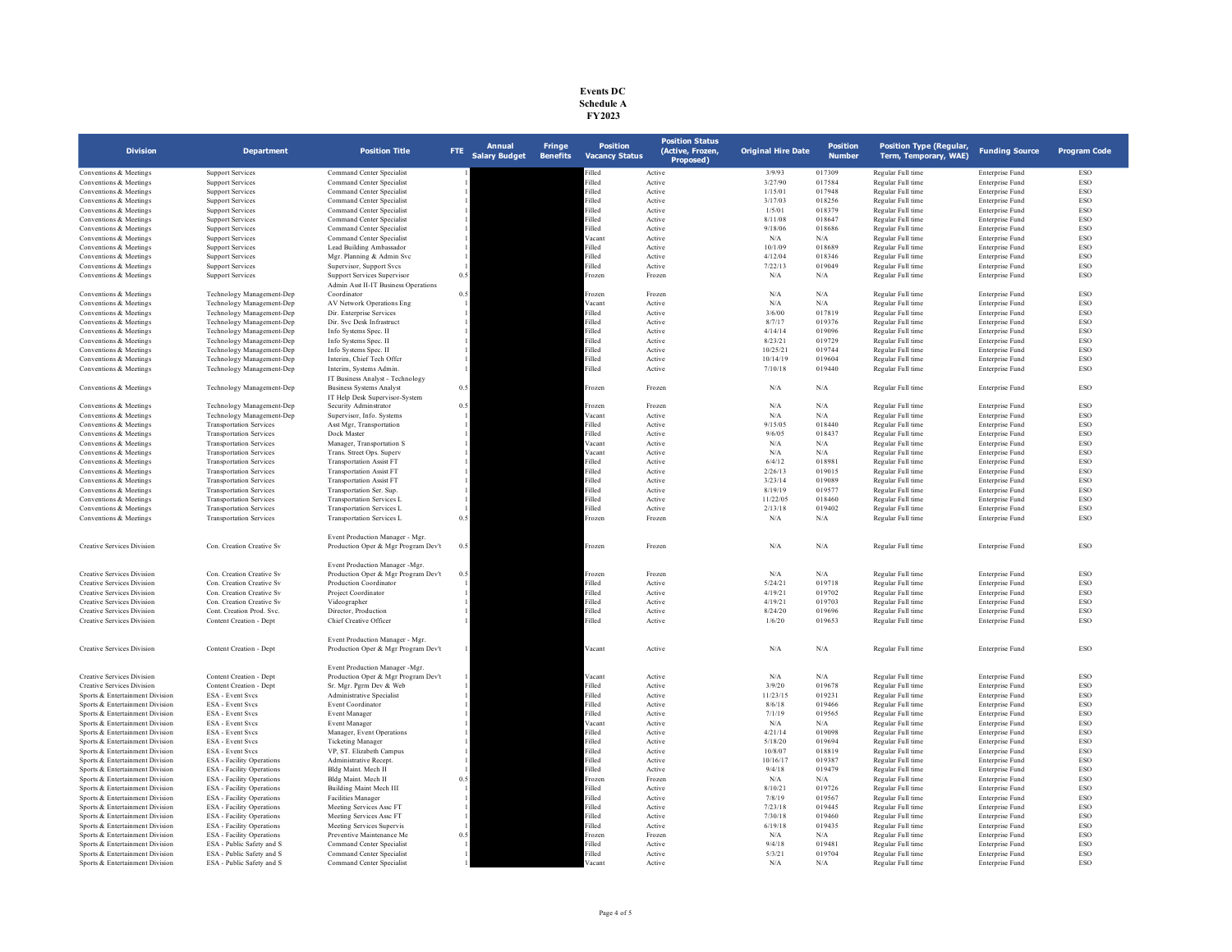## **Events DC Schedule A FY2023**

| <b>Division</b>                   | <b>Department</b>                | <b>Position Title</b>                                                  | FTE | <b>Annual</b><br><b>Salary Budget</b> | <b>Fringe</b><br><b>Benefits</b> | <b>Position</b><br><b>Vacancy Status</b> | <b>Position Status</b><br>(Active, Frozen,<br>Proposed) | <b>Original Hire Date</b> | <b>Position</b><br><b>Number</b> | <b>Position Type (Regular,</b><br>Term, Temporary, WAE) | <b>Funding Source</b>  | <b>Program Code</b> |
|-----------------------------------|----------------------------------|------------------------------------------------------------------------|-----|---------------------------------------|----------------------------------|------------------------------------------|---------------------------------------------------------|---------------------------|----------------------------------|---------------------------------------------------------|------------------------|---------------------|
| Conventions & Meetings            | <b>Support Services</b>          | Command Center Specialist                                              |     |                                       |                                  | illed                                    | Active                                                  | 3/9/93                    | 017309                           | Regular Full time                                       | Enterprise Fund        | ESO                 |
| Conventions & Meetings            | <b>Support Services</b>          | Command Center Specialist                                              |     |                                       |                                  | Filled                                   | Active                                                  | 3/27/90                   | 017584                           | Regular Full time                                       | Enterprise Fund        | ESO                 |
| Conventions & Meetings            | <b>Support Services</b>          | Command Center Specialist                                              |     |                                       |                                  | Filled                                   | Active                                                  | 1/15/01                   | 017948                           | Regular Full time                                       | Enterprise Fund        | ESO                 |
| Conventions & Meetings            | <b>Support Services</b>          | Command Center Specialist                                              |     |                                       |                                  | Filled                                   | Active                                                  | 3/17/03                   | 018256                           | Regular Full time                                       | Enterprise Fund        | ESO                 |
| Conventions & Meetings            | <b>Support Services</b>          | Command Center Specialist                                              |     |                                       |                                  | illed                                    | Active                                                  | 1/5/01                    | 018379                           | Regular Full time                                       | Enterprise Fund        | ESO                 |
| Conventions & Meetings            | <b>Support Services</b>          | Command Center Specialist                                              |     |                                       |                                  | Filled                                   | Active                                                  | 8/11/08                   | 018647                           | Regular Full time                                       | Enterprise Fund        | ESO                 |
| Conventions & Meetings            | <b>Support Services</b>          | Command Center Specialist                                              |     |                                       |                                  | Filled                                   | Active                                                  | 9/18/06                   | 018686                           | Regular Full time                                       | Enterprise Fund        | ESO                 |
| Conventions & Meetings            | <b>Support Services</b>          | Command Center Specialist                                              |     |                                       |                                  | Vacant                                   | Active                                                  | N/A                       | N/A                              | Regular Full time                                       | Enterprise Fund        | ESO                 |
| Conventions & Meetings            | <b>Support Services</b>          | Lead Building Ambassador                                               |     |                                       |                                  | Filled                                   | Active                                                  | 10/1/09                   | 018689                           | Regular Full time                                       | Enterprise Fund        | ESO                 |
| Conventions & Meetings            | <b>Support Services</b>          | Mgr. Planning & Admin Svc                                              |     |                                       |                                  | illed                                    | Active                                                  | 4/12/04                   | 018346                           | Regular Full time                                       | Enterprise Fund        | ESO                 |
| Conventions & Meetings            | <b>Support Services</b>          | Supervisor, Support Svcs                                               |     |                                       |                                  | Filled                                   | Active                                                  | 7/22/13                   | 019049                           | Regular Full time                                       | Enterprise Fund        | ESO                 |
| Conventions & Meetings            | <b>Support Services</b>          | <b>Support Services Supervisor</b>                                     | 0.5 |                                       |                                  | Frozen                                   | Frozen                                                  | $\rm N/A$                 | N/A                              | Regular Full time                                       | Enterprise Fund        | ESO                 |
|                                   |                                  | Admin Asst II-IT Business Operations                                   |     |                                       |                                  |                                          |                                                         |                           |                                  |                                                         |                        |                     |
| Conventions & Meetings            | Technology Management-Dep        | Coordinator                                                            | 0.5 |                                       |                                  | Frozen                                   | Frozen                                                  | N/A                       | N/A                              | Regular Full time                                       | Enterprise Fund        | <b>ESO</b>          |
| Conventions & Meetings            | Technology Management-Dep        | AV Network Operations Eng                                              |     |                                       |                                  | Vacant                                   | Active                                                  | N/A                       | N/A                              | Regular Full time                                       | Enterprise Fund        | ESO                 |
| Conventions & Meetings            | Technology Management-Dep        | Dir. Enterprise Services                                               |     |                                       |                                  | illed                                    | Active                                                  | 3/6/00                    | 017819                           | Regular Full time                                       | Enterprise Fund        | ESO                 |
| Conventions & Meetings            | Technology Management-Dep        | Dir. Svc Desk Infrastruct                                              |     |                                       |                                  | Filled                                   | Active                                                  | 8/7/17                    | 019376                           | Regular Full time                                       | Enterprise Fund        | ESO                 |
| Conventions & Meetings            | Technology Management-Dep        | Info Systems Spec. II                                                  |     |                                       |                                  | Filled                                   | Active                                                  | 4/14/14                   | 019096                           | Regular Full time                                       | Enterprise Fund        | ESO                 |
| Conventions & Meetings            | Technology Management-Dep        | Info Systems Spec. II                                                  |     |                                       |                                  | Filled                                   | Active                                                  | 8/23/21                   | 019729                           | Regular Full time                                       | Enterprise Fund        | <b>ESO</b>          |
| Conventions & Meetings            | Technology Management-Dep        | Info Systems Spec. II                                                  |     |                                       |                                  | Filled                                   | Active                                                  | 10/25/21                  | 019744                           | Regular Full time                                       | Enterprise Fund        | ESO                 |
| Conventions & Meetings            | Technology Management-Dep        | Interim, Chief Tech Offer                                              |     |                                       |                                  | illed                                    | Active                                                  | 10/14/19                  | 019604                           | Regular Full time                                       | <b>Enterprise Fund</b> | ESO                 |
| Conventions & Meetings            | Technology Management-Dep        | Interim, Systems Admin.                                                |     |                                       |                                  | Filled                                   | Active                                                  | 7/10/18                   | 019440                           | Regular Full time                                       | Enterprise Fund        | ESO                 |
|                                   |                                  | IT Business Analyst - Technology                                       |     |                                       |                                  |                                          |                                                         |                           |                                  |                                                         |                        |                     |
| Conventions & Meetings            | Technology Management-Dep        | <b>Business Systems Analyst</b>                                        | 0.5 |                                       |                                  | Frozen                                   | Frozen                                                  | $\rm N/A$                 | N/A                              | Regular Full time                                       | <b>Enterprise Fund</b> | ESO                 |
|                                   |                                  | IT Help Desk Supervisor-System                                         |     |                                       |                                  |                                          |                                                         |                           |                                  |                                                         |                        |                     |
| Conventions & Meetings            | Technology Management-Dep        | Security Adminstrator                                                  | 0.5 |                                       |                                  | Frozen                                   | Frozen                                                  | N/A                       | N/A                              | Regular Full time                                       | Enterprise Fund        | ESO                 |
| Conventions & Meetings            | Technology Management-Dep        | Supervisor, Info. Systems                                              |     |                                       |                                  | Vacant                                   | Active                                                  | N/A                       | N/A                              | Regular Full time                                       | Enterprise Fund        | ESO                 |
|                                   |                                  |                                                                        |     |                                       |                                  |                                          |                                                         |                           |                                  |                                                         |                        |                     |
| Conventions & Meetings            | <b>Transportation Services</b>   | Asst Mgr, Transportation                                               |     |                                       |                                  | Filled<br>Filled                         | Active                                                  | 9/15/05                   | 018440                           | Regular Full time                                       | Enterprise Fund        | ESO<br><b>ESO</b>   |
| Conventions & Meetings            | <b>Transportation Services</b>   | Dock Master                                                            |     |                                       |                                  |                                          | Active                                                  | 9/6/05                    | 018437                           | Regular Full time                                       | Enterprise Fund        | ESO                 |
| Conventions & Meetings            | <b>Transportation Services</b>   | Manager, Transportation S                                              |     |                                       |                                  | Vacant                                   | Active                                                  | N/A                       | N/A                              | Regular Full time                                       | Enterprise Fund        |                     |
| Conventions & Meetings            | <b>Transportation Services</b>   | Trans. Street Ops. Superv                                              |     |                                       |                                  | Vacant                                   | Active                                                  | N/A                       | N/A                              | Regular Full time                                       | Enterprise Fund        | ESO                 |
| Conventions & Meetings            | <b>Transportation Services</b>   | <b>Transportation Assist FT</b>                                        |     |                                       |                                  | illed                                    | Active                                                  | 6/4/12                    | 018981                           | Regular Full time                                       | Enterprise Fund        | ESO                 |
| Conventions & Meetings            | <b>Transportation Services</b>   | <b>Transportation Assist FT</b>                                        |     |                                       |                                  | illed                                    | Active                                                  | 2/26/13                   | 019015                           | Regular Full time                                       | Enterprise Fund        | ESO                 |
| Conventions & Meetings            | <b>Transportation Services</b>   | <b>Transportation Assist FT</b>                                        |     |                                       |                                  | Filled                                   | Active                                                  | 3/23/14                   | 019089                           | Regular Full time                                       | Enterprise Fund        | ESO                 |
| Conventions & Meetings            | <b>Transportation Services</b>   | Transportation Ser. Sup.                                               |     |                                       |                                  | Filled                                   | Active                                                  | 8/19/19                   | 019577                           | Regular Full time                                       | Enterprise Fund        | ESO                 |
| Conventions & Meetings            | <b>Transportation Services</b>   | <b>Transportation Services L</b>                                       |     |                                       |                                  | Filled                                   | Active                                                  | 11/22/05                  | 018460                           | Regular Full time                                       | Enterprise Fund        | ESO                 |
| Conventions & Meetings            | <b>Transportation Services</b>   | Transportation Services L                                              |     |                                       |                                  | Filled                                   | Active                                                  | 2/13/18                   | 019402                           | Regular Full time                                       | Enterprise Fund        | ESO                 |
| Conventions & Meetings            | <b>Transportation Services</b>   | Transportation Services L                                              | 0.5 |                                       |                                  | Frozen                                   | Frozen                                                  | N/A                       | N/A                              | Regular Full time                                       | Enterprise Fund        | ESO                 |
| <b>Creative Services Division</b> | Con. Creation Creative Sv.       | Event Production Manager - Mgr.<br>Production Oper & Mgr Program Dev't | 0.5 |                                       |                                  | Frozen                                   | Frozen                                                  | N/A                       | N/A                              | Regular Full time                                       | Enterprise Fund        | ESO                 |
|                                   |                                  | Event Production Manager -Mgr                                          |     |                                       |                                  |                                          |                                                         |                           |                                  |                                                         |                        |                     |
| <b>Creative Services Division</b> | Con. Creation Creative Sv        | Production Oper & Mgr Program Dev't                                    | 0.5 |                                       |                                  | Frozen                                   | Frozen                                                  | N/A                       | $\rm N/A$                        | Regular Full time                                       | <b>Enterprise Fund</b> | ESO                 |
| <b>Creative Services Division</b> | Con. Creation Creative Sv        | Production Coordinator                                                 |     |                                       |                                  | Filled                                   | Active                                                  | 5/24/21                   | 019718                           | Regular Full time                                       | Enterprise Fund        | ESO                 |
| <b>Creative Services Division</b> | Con. Creation Creative Sv        | Project Coordinator                                                    |     |                                       |                                  | Filled                                   | Active                                                  | 4/19/21                   | 019702                           | Regular Full time                                       | Enterprise Fund        | ESO                 |
| <b>Creative Services Division</b> | Con. Creation Creative Sv        | Videographer                                                           |     |                                       |                                  | Filled                                   | Active                                                  | 4/19/21                   | 019703                           | Regular Full time                                       | Enterprise Fund        | ESO                 |
| <b>Creative Services Division</b> | Cont. Creation Prod. Svc.        | Director, Production                                                   |     |                                       |                                  | Filled                                   | Active                                                  | 8/24/20                   | 019696                           | Regular Full time                                       | Enterprise Fund        | ESO                 |
| <b>Creative Services Division</b> | Content Creation - Dept          | Chief Creative Officer                                                 |     |                                       |                                  | Filled                                   | Active                                                  | 1/6/20                    | 019653                           | Regular Full time                                       | Enterprise Fund        | ESO                 |
|                                   |                                  | Event Production Manager - Mgr.                                        |     |                                       |                                  |                                          |                                                         |                           |                                  |                                                         |                        |                     |
| <b>Creative Services Division</b> | Content Creation - Dept          | Production Oper & Mgr Program Dev't                                    |     |                                       |                                  | Vacant                                   | Active                                                  | N/A                       | N/A                              | Regular Full time                                       | Enterprise Fund        | ESO                 |
|                                   |                                  | Event Production Manager - Mgr                                         |     |                                       |                                  |                                          |                                                         |                           |                                  |                                                         |                        |                     |
| <b>Creative Services Division</b> | Content Creation - Dept          | Production Oper & Mgr Program Dev't                                    |     |                                       |                                  | Vacant                                   | Active                                                  | $\rm N/A$                 | $\rm N/A$                        | Regular Full time                                       | Enterprise Fund        | ESO                 |
| <b>Creative Services Division</b> | Content Creation - Dept          | Sr. Mgr. Pgrm Dev & Web                                                |     |                                       |                                  | Filled                                   | Active                                                  | 3/9/20                    | 019678                           | Regular Full time                                       | Enterprise Fund        | ESO                 |
| Sports & Entertainment Division   | <b>ESA</b> - Event Svcs          | Administrative Specialist                                              |     |                                       |                                  | Filled                                   | Active                                                  | 11/23/15                  | 019231                           | Regular Full time                                       | Enterprise Fund        | ESO                 |
| Sports & Entertainment Division   | ESA - Event Svcs                 | Event Coordinator                                                      |     |                                       |                                  | Filled                                   | Active                                                  | 8/6/18                    | 019466                           | Regular Full time                                       | Enterprise Fund        | ESO                 |
| Sports & Entertainment Division   | ESA - Event Svcs                 | Event Manager                                                          |     |                                       |                                  | illed                                    | Active                                                  | 7/1/19                    | 019565                           | Regular Full time                                       | Enterprise Fund        | ESO                 |
| Sports & Entertainment Division   | ESA - Event Svcs                 | Event Manager                                                          |     |                                       |                                  | Vacant                                   | Active                                                  | N/A                       | N/A                              | Regular Full time                                       | Enterprise Fund        | ESO                 |
| Sports & Entertainment Division   | ESA - Event Svcs                 | Manager, Event Operations                                              |     |                                       |                                  | Filled                                   | Active                                                  | 4/21/14                   | 019098                           | Regular Full time                                       | Enterprise Fund        | ESO                 |
| Sports & Entertainment Division   | ESA - Event Svcs                 | <b>Ticketing Manager</b>                                               |     |                                       |                                  | Filled                                   | Active                                                  | 5/18/20                   | 019694                           | Regular Full time                                       | Enterprise Fund        | ESO                 |
| Sports & Entertainment Division   | ESA - Event Svcs                 | VP. ST. Elizabeth Campus                                               |     |                                       |                                  | Filled                                   | Active                                                  | 10/8/07                   | 018819                           | Regular Full time                                       | Enterprise Fund        | ESO                 |
| Sports & Entertainment Division   | <b>ESA</b> - Facility Operations | Administrative Recept.                                                 |     |                                       |                                  | Filled                                   | Active                                                  | 10/16/17                  | 019387                           | Regular Full time                                       | Enterprise Fund        | ESO                 |
| Sports & Entertainment Division   | <b>ESA</b> - Facility Operations | Bldg Maint, Mech II                                                    |     |                                       |                                  | Filled                                   | Active                                                  | 9/4/18                    | 019479                           | Regular Full time                                       | Enterprise Fund        | ESO                 |
| Sports & Entertainment Division   | <b>ESA</b> - Facility Operations | Bldg Maint. Mech II                                                    | 0.5 |                                       |                                  | rozen                                    | Frozen                                                  | $\rm N/A$                 | N/A                              | Regular Full time                                       | Enterprise Fund        | ESO                 |
| Sports & Entertainment Division   | <b>ESA</b> - Facility Operations | Building Maint Mech III                                                |     |                                       |                                  | Filled                                   | Active                                                  | 8/10/21                   | 019726                           | Regular Full time                                       | Enterprise Fund        | ESO                 |
| Sports & Entertainment Division   | <b>ESA</b> - Facility Operations | <b>Facilities Manager</b>                                              |     |                                       |                                  | Filled                                   | Active                                                  | 7/8/19                    | 019567                           | Regular Full time                                       | Enterprise Fund        | ESO                 |
| Sports & Entertainment Division   | <b>ESA</b> - Facility Operations | Meeting Services Assc FT                                               |     |                                       |                                  | Filled                                   | Active                                                  | 7/23/18                   | 019445                           | Regular Full time                                       | Enterprise Fund        | ESO                 |
| Sports & Entertainment Division   | <b>ESA</b> - Facility Operations | Meeting Services Assc FT                                               |     |                                       |                                  | illed                                    | Active                                                  | 7/30/18                   | 019460                           | Regular Full time                                       | Enterprise Fund        | ESO                 |
| Sports & Entertainment Division   | <b>ESA</b> - Facility Operations | Meeting Services Supervis                                              |     |                                       |                                  | Filled                                   | Active                                                  | 6/19/18                   | 019435                           | Regular Full time                                       | Enterprise Fund        | ESO                 |
| Sports & Entertainment Division   | <b>ESA</b> - Facility Operations | Preventive Maintenance Me                                              | 0.5 |                                       |                                  | rozen                                    | Frozen                                                  | N/A                       | N/A                              | Regular Full time                                       | Enterprise Fund        | ESO                 |
| Sports & Entertainment Division   | ESA - Public Safety and S        | Command Center Specialist                                              |     |                                       |                                  | Filled                                   | Active                                                  | 9/4/18                    | 019481                           | Regular Full time                                       | Enterprise Fund        | ESO                 |
| Sports & Entertainment Division   |                                  | Command Center Specialist                                              |     |                                       |                                  | Filled                                   | Active                                                  | 5/3/21                    | 019704                           | Regular Full time                                       | Enterprise Fund        | ESO                 |
|                                   | ESA - Public Safety and S        |                                                                        |     |                                       |                                  | /acant                                   |                                                         |                           |                                  |                                                         |                        | ESO                 |
| Sports & Entertainment Division   | ESA - Public Safety and S        | Command Center Specialist                                              |     |                                       |                                  |                                          | Active                                                  | N/A                       | N/A                              | Regular Full time                                       | Enterprise Fund        |                     |